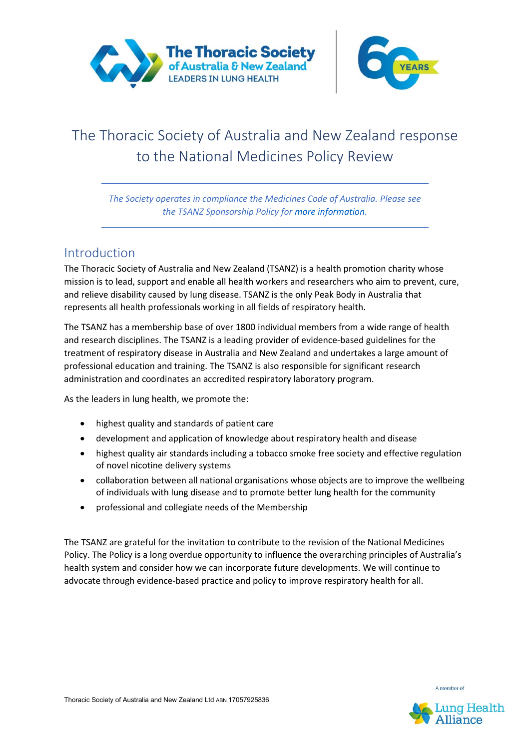



# The Thoracic Society of Australia and New Zealand response to the National Medicines Policy Review

*The Society operates in compliance the Medicines Code of Australia. Please see the TSANZ Sponsorship Policy for more information.*

### Introduction

The Thoracic Society of Australia and New Zealand (TSANZ) is a health promotion charity whose mission is to lead, support and enable all health workers and researchers who aim to prevent, cure, and relieve disability caused by lung disease. TSANZ is the only Peak Body in Australia that represents all health professionals working in all fields of respiratory health.

The TSANZ has a membership base of over 1800 individual members from a wide range of health and research disciplines. The TSANZ is a leading provider of evidence-based guidelines for the treatment of respiratory disease in Australia and New Zealand and undertakes a large amount of professional education and training. The TSANZ is also responsible for significant research administration and coordinates an accredited respiratory laboratory program.

As the leaders in lung health, we promote the:

- highest quality and standards of patient care
- development and application of knowledge about respiratory health and disease
- highest quality air standards including a tobacco smoke free society and effective regulation of novel nicotine delivery systems
- collaboration between all national organisations whose objects are to improve the wellbeing of individuals with lung disease and to promote better lung health for the community
- professional and collegiate needs of the Membership

The TSANZ are grateful for the invitation to contribute to the revision of the National Medicines Policy. The Policy is a long overdue opportunity to influence the overarching principles of Australia's health system and consider how we can incorporate future developments. We will continue to advocate through evidence-based practice and policy to improve respiratory health for all.

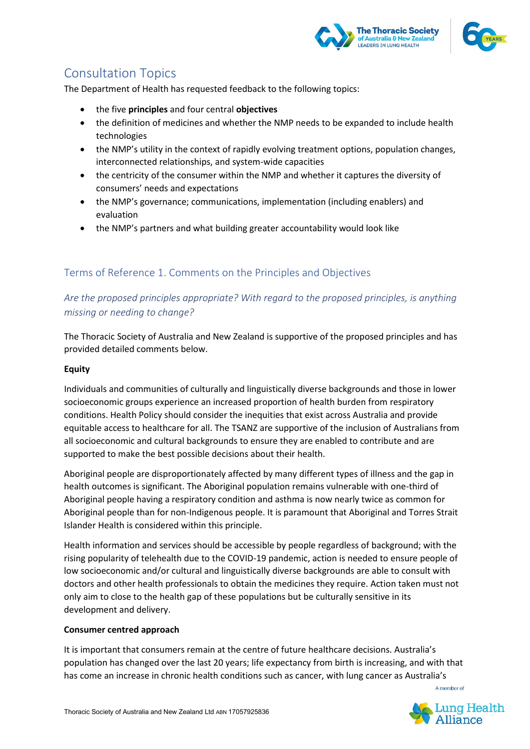



## Consultation Topics

The Department of Health has requested feedback to the following topics:

- the five **principles** and four central **objectives**
- the definition of medicines and whether the NMP needs to be expanded to include health technologies
- the NMP's utility in the context of rapidly evolving treatment options, population changes, interconnected relationships, and system-wide capacities
- the centricity of the consumer within the NMP and whether it captures the diversity of consumers' needs and expectations
- the NMP's governance; communications, implementation (including enablers) and evaluation
- the NMP's partners and what building greater accountability would look like

### Terms of Reference 1. Comments on the Principles and Objectives

*Are the proposed principles appropriate? With regard to the proposed principles, is anything missing or needing to change?*

The Thoracic Society of Australia and New Zealand is supportive of the proposed principles and has provided detailed comments below.

#### **Equity**

Individuals and communities of culturally and linguistically diverse backgrounds and those in lower socioeconomic groups experience an increased proportion of health burden from respiratory conditions. Health Policy should consider the inequities that exist across Australia and provide equitable access to healthcare for all. The TSANZ are supportive of the inclusion of Australians from all socioeconomic and cultural backgrounds to ensure they are enabled to contribute and are supported to make the best possible decisions about their health.

Aboriginal people are disproportionately affected by many different types of illness and the gap in health outcomes is significant. The Aboriginal population remains vulnerable with one-third of Aboriginal people having a respiratory condition and asthma is now nearly twice as common for Aboriginal people than for non-Indigenous people. It is paramount that Aboriginal and Torres Strait Islander Health is considered within this principle.

Health information and services should be accessible by people regardless of background; with the rising popularity of telehealth due to the COVID-19 pandemic, action is needed to ensure people of low socioeconomic and/or cultural and linguistically diverse backgrounds are able to consult with doctors and other health professionals to obtain the medicines they require. Action taken must not only aim to close to the health gap of these populations but be culturally sensitive in its development and delivery.

#### **Consumer centred approach**

It is important that consumers remain at the centre of future healthcare decisions. Australia's population has changed over the last 20 years; life expectancy from birth is increasing, and with that has come an increase in chronic health conditions such as cancer, with lung cancer as Australia's

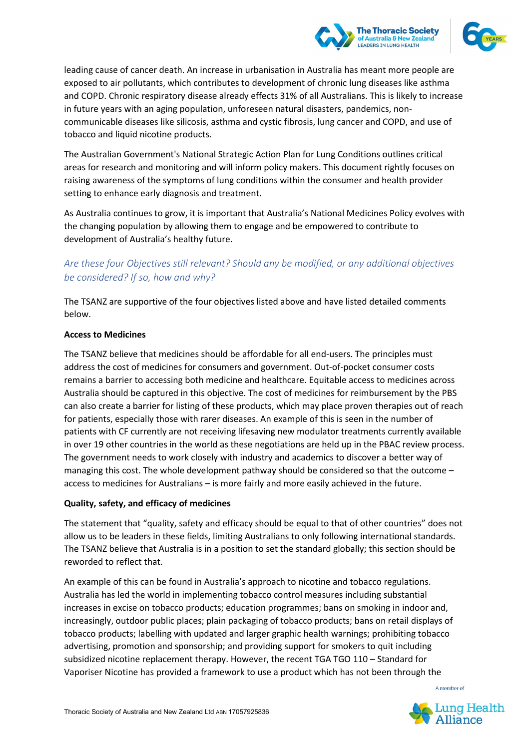



leading cause of cancer death. An increase in urbanisation in Australia has meant more people are exposed to air pollutants, which contributes to development of chronic lung diseases like asthma and COPD. Chronic respiratory disease already effects 31% of all Australians. This is likely to increase in future years with an aging population, unforeseen natural disasters, pandemics, noncommunicable diseases like silicosis, asthma and cystic fibrosis, lung cancer and COPD, and use of tobacco and liquid nicotine products.

The Australian Government's National Strategic Action Plan for Lung Conditions outlines critical areas for research and monitoring and will inform policy makers. This document rightly focuses on raising awareness of the symptoms of lung conditions within the consumer and health provider setting to enhance early diagnosis and treatment.

As Australia continues to grow, it is important that Australia's National Medicines Policy evolves with the changing population by allowing them to engage and be empowered to contribute to development of Australia's healthy future.

### *Are these four Objectives still relevant? Should any be modified, or any additional objectives be considered? If so, how and why?*

The TSANZ are supportive of the four objectives listed above and have listed detailed comments below.

#### **Access to Medicines**

The TSANZ believe that medicines should be affordable for all end-users. The principles must address the cost of medicines for consumers and government. Out-of-pocket consumer costs remains a barrier to accessing both medicine and healthcare. Equitable access to medicines across Australia should be captured in this objective. The cost of medicines for reimbursement by the PBS can also create a barrier for listing of these products, which may place proven therapies out of reach for patients, especially those with rarer diseases. An example of this is seen in the number of patients with CF currently are not receiving lifesaving new modulator treatments currently available in over 19 other countries in the world as these negotiations are held up in the PBAC review process. The government needs to work closely with industry and academics to discover a better way of managing this cost. The whole development pathway should be considered so that the outcome – access to medicines for Australians – is more fairly and more easily achieved in the future.

#### **Quality, safety, and efficacy of medicines**

The statement that "quality, safety and efficacy should be equal to that of other countries" does not allow us to be leaders in these fields, limiting Australians to only following international standards. The TSANZ believe that Australia is in a position to set the standard globally; this section should be reworded to reflect that.

An example of this can be found in Australia's approach to nicotine and tobacco regulations. Australia has led the world in implementing tobacco control measures including substantial increases in excise on tobacco products; education programmes; bans on smoking in indoor and, increasingly, outdoor public places; plain packaging of tobacco products; bans on retail displays of tobacco products; labelling with updated and larger graphic health warnings; prohibiting tobacco advertising, promotion and sponsorship; and providing support for smokers to quit including subsidized nicotine replacement therapy. However, the recent TGA TGO 110 – Standard for Vaporiser Nicotine has provided a framework to use a product which has not been through the

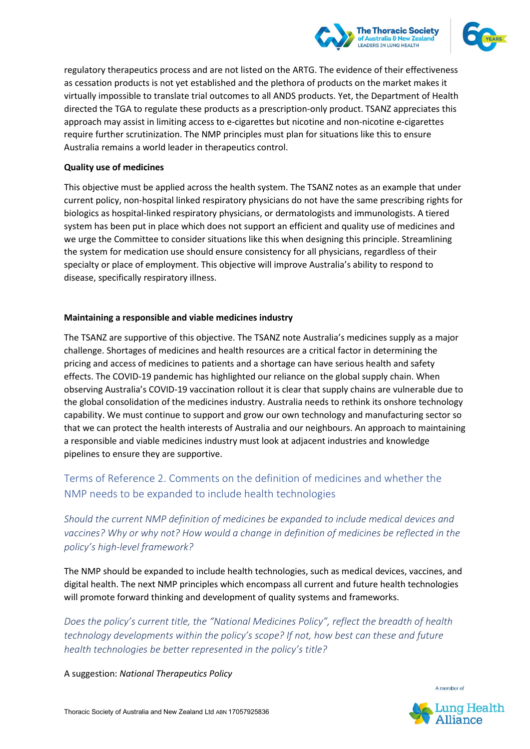



regulatory therapeutics process and are not listed on the ARTG. The evidence of their effectiveness as cessation products is not yet established and the plethora of products on the market makes it virtually impossible to translate trial outcomes to all ANDS products. Yet, the Department of Health directed the TGA to regulate these products as a prescription-only product. TSANZ appreciates this approach may assist in limiting access to e-cigarettes but nicotine and non-nicotine e-cigarettes require further scrutinization. The NMP principles must plan for situations like this to ensure Australia remains a world leader in therapeutics control.

#### **Quality use of medicines**

This objective must be applied across the health system. The TSANZ notes as an example that under current policy, non-hospital linked respiratory physicians do not have the same prescribing rights for biologics as hospital-linked respiratory physicians, or dermatologists and immunologists. A tiered system has been put in place which does not support an efficient and quality use of medicines and we urge the Committee to consider situations like this when designing this principle. Streamlining the system for medication use should ensure consistency for all physicians, regardless of their specialty or place of employment. This objective will improve Australia's ability to respond to disease, specifically respiratory illness.

#### **Maintaining a responsible and viable medicines industry**

The TSANZ are supportive of this objective. The TSANZ note Australia's medicines supply as a major challenge. Shortages of medicines and health resources are a critical factor in determining the pricing and access of medicines to patients and a shortage can have serious health and safety effects. The COVID-19 pandemic has highlighted our reliance on the global supply chain. When observing Australia's COVID-19 vaccination rollout it is clear that supply chains are vulnerable due to the global consolidation of the medicines industry. Australia needs to rethink its onshore technology capability. We must continue to support and grow our own technology and manufacturing sector so that we can protect the health interests of Australia and our neighbours. An approach to maintaining a responsible and viable medicines industry must look at adjacent industries and knowledge pipelines to ensure they are supportive.

### Terms of Reference 2. Comments on the definition of medicines and whether the NMP needs to be expanded to include health technologies

*Should the current NMP definition of medicines be expanded to include medical devices and vaccines? Why or why not? How would a change in definition of medicines be reflected in the policy's high-level framework?*

The NMP should be expanded to include health technologies, such as medical devices, vaccines, and digital health. The next NMP principles which encompass all current and future health technologies will promote forward thinking and development of quality systems and frameworks.

*Does the policy's current title, the "National Medicines Policy", reflect the breadth of health technology developments within the policy's scope? If not, how best can these and future health technologies be better represented in the policy's title?*

A suggestion: *National Therapeutics Policy*

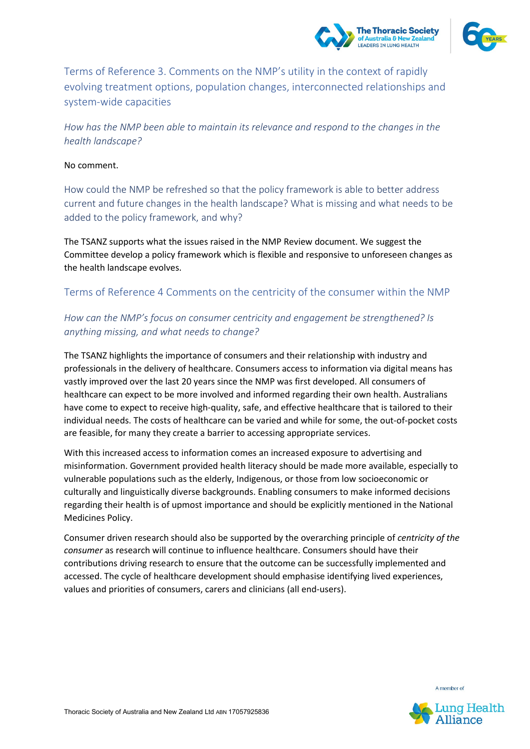



Terms of Reference 3. Comments on the NMP's utility in the context of rapidly evolving treatment options, population changes, interconnected relationships and system-wide capacities

*How has the NMP been able to maintain its relevance and respond to the changes in the health landscape?*

#### No comment.

How could the NMP be refreshed so that the policy framework is able to better address current and future changes in the health landscape? What is missing and what needs to be added to the policy framework, and why?

The TSANZ supports what the issues raised in the NMP Review document. We suggest the Committee develop a policy framework which is flexible and responsive to unforeseen changes as the health landscape evolves.

#### Terms of Reference 4 Comments on the centricity of the consumer within the NMP

### *How can the NMP's focus on consumer centricity and engagement be strengthened? Is anything missing, and what needs to change?*

The TSANZ highlights the importance of consumers and their relationship with industry and professionals in the delivery of healthcare. Consumers access to information via digital means has vastly improved over the last 20 years since the NMP was first developed. All consumers of healthcare can expect to be more involved and informed regarding their own health. Australians have come to expect to receive high-quality, safe, and effective healthcare that is tailored to their individual needs. The costs of healthcare can be varied and while for some, the out-of-pocket costs are feasible, for many they create a barrier to accessing appropriate services.

With this increased access to information comes an increased exposure to advertising and misinformation. Government provided health literacy should be made more available, especially to vulnerable populations such as the elderly, Indigenous, or those from low socioeconomic or culturally and linguistically diverse backgrounds. Enabling consumers to make informed decisions regarding their health is of upmost importance and should be explicitly mentioned in the National Medicines Policy.

Consumer driven research should also be supported by the overarching principle of *centricity of the consumer* as research will continue to influence healthcare. Consumers should have their contributions driving research to ensure that the outcome can be successfully implemented and accessed. The cycle of healthcare development should emphasise identifying lived experiences, values and priorities of consumers, carers and clinicians (all end-users).



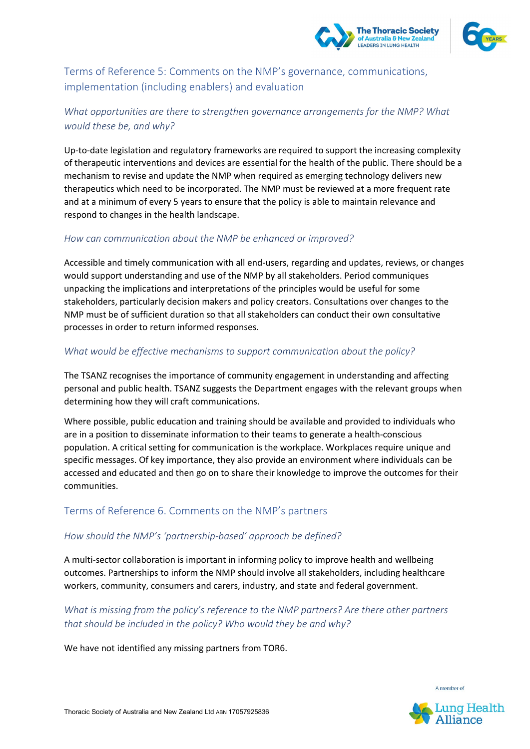



Terms of Reference 5: Comments on the NMP's governance, communications, implementation (including enablers) and evaluation

### *What opportunities are there to strengthen governance arrangements for the NMP? What would these be, and why?*

Up-to-date legislation and regulatory frameworks are required to support the increasing complexity of therapeutic interventions and devices are essential for the health of the public. There should be a mechanism to revise and update the NMP when required as emerging technology delivers new therapeutics which need to be incorporated. The NMP must be reviewed at a more frequent rate and at a minimum of every 5 years to ensure that the policy is able to maintain relevance and respond to changes in the health landscape.

#### *How can communication about the NMP be enhanced or improved?*

Accessible and timely communication with all end-users, regarding and updates, reviews, or changes would support understanding and use of the NMP by all stakeholders. Period communiques unpacking the implications and interpretations of the principles would be useful for some stakeholders, particularly decision makers and policy creators. Consultations over changes to the NMP must be of sufficient duration so that all stakeholders can conduct their own consultative processes in order to return informed responses.

#### *What would be effective mechanisms to support communication about the policy?*

The TSANZ recognises the importance of community engagement in understanding and affecting personal and public health. TSANZ suggests the Department engages with the relevant groups when determining how they will craft communications.

Where possible, public education and training should be available and provided to individuals who are in a position to disseminate information to their teams to generate a health-conscious population. A critical setting for communication is the workplace. Workplaces require unique and specific messages. Of key importance, they also provide an environment where individuals can be accessed and educated and then go on to share their knowledge to improve the outcomes for their communities.

### Terms of Reference 6. Comments on the NMP's partners

#### *How should the NMP's 'partnership-based' approach be defined?*

A multi-sector collaboration is important in informing policy to improve health and wellbeing outcomes. Partnerships to inform the NMP should involve all stakeholders, including healthcare workers, community, consumers and carers, industry, and state and federal government.

### *What is missing from the policy's reference to the NMP partners? Are there other partners that should be included in the policy? Who would they be and why?*

We have not identified any missing partners from TOR6.